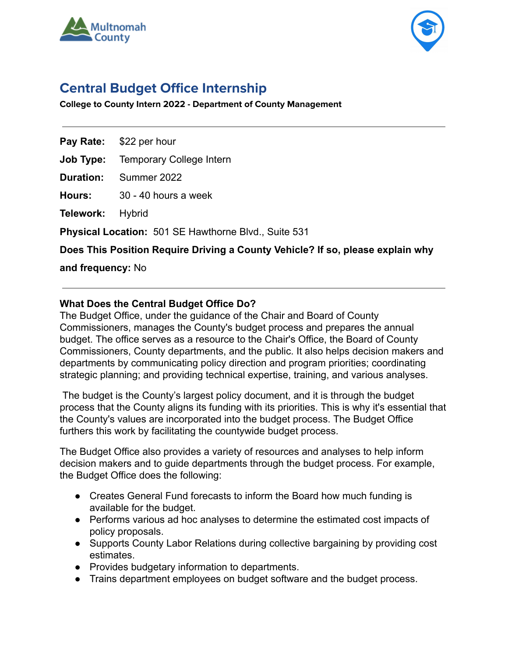



# **Central Budget Office Internship**

**College to County Intern 2022 - Department of County Management**

**Pay Rate:** \$22 per hour

**Job Type:** Temporary College Intern

**Duration:** Summer 2022

**Hours:** 30 - 40 hours a week

**Telework:** Hybrid

**Physical Location:** 501 SE Hawthorne Blvd., Suite 531

**Does This Position Require Driving a County Vehicle? If so, please explain why**

**and frequency:** No

#### **What Does the Central Budget Office Do?**

The Budget Office, under the guidance of the Chair and Board of County Commissioners, manages the County's budget process and prepares the annual budget. The office serves as a resource to the Chair's Office, the Board of County Commissioners, County departments, and the public. It also helps decision makers and departments by communicating policy direction and program priorities; coordinating strategic planning; and providing technical expertise, training, and various analyses.

The budget is the County's largest policy document, and it is through the budget process that the County aligns its funding with its priorities. This is why it's essential that the County's values are incorporated into the budget process. The Budget Office furthers this work by facilitating the countywide budget process.

The Budget Office also provides a variety of resources and analyses to help inform decision makers and to guide departments through the budget process. For example, the Budget Office does the following:

- Creates General Fund forecasts to inform the Board how much funding is available for the budget.
- Performs various ad hoc analyses to determine the estimated cost impacts of policy proposals.
- Supports County Labor Relations during collective bargaining by providing cost estimates.
- Provides budgetary information to departments.
- Trains department employees on budget software and the budget process.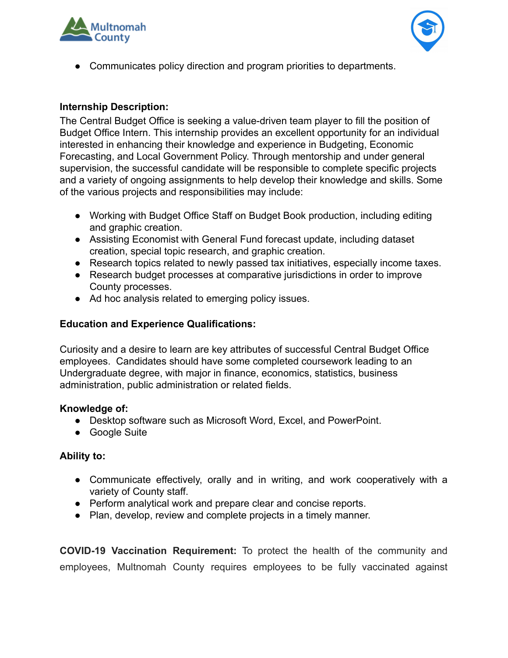



● Communicates policy direction and program priorities to departments.

## **Internship Description:**

The Central Budget Office is seeking a value-driven team player to fill the position of Budget Office Intern. This internship provides an excellent opportunity for an individual interested in enhancing their knowledge and experience in Budgeting, Economic Forecasting, and Local Government Policy. Through mentorship and under general supervision, the successful candidate will be responsible to complete specific projects and a variety of ongoing assignments to help develop their knowledge and skills. Some of the various projects and responsibilities may include:

- Working with Budget Office Staff on Budget Book production, including editing and graphic creation.
- Assisting Economist with General Fund forecast update, including dataset creation, special topic research, and graphic creation.
- Research topics related to newly passed tax initiatives, especially income taxes.
- Research budget processes at comparative jurisdictions in order to improve County processes.
- Ad hoc analysis related to emerging policy issues.

### **Education and Experience Qualifications:**

Curiosity and a desire to learn are key attributes of successful Central Budget Office employees. Candidates should have some completed coursework leading to an Undergraduate degree, with major in finance, economics, statistics, business administration, public administration or related fields.

#### **Knowledge of:**

- Desktop software such as Microsoft Word, Excel, and PowerPoint.
- Google Suite

#### **Ability to:**

- Communicate effectively, orally and in writing, and work cooperatively with a variety of County staff.
- Perform analytical work and prepare clear and concise reports.
- Plan, develop, review and complete projects in a timely manner.

**COVID-19 Vaccination Requirement:** To protect the health of the community and employees, Multnomah County requires employees to be fully vaccinated against